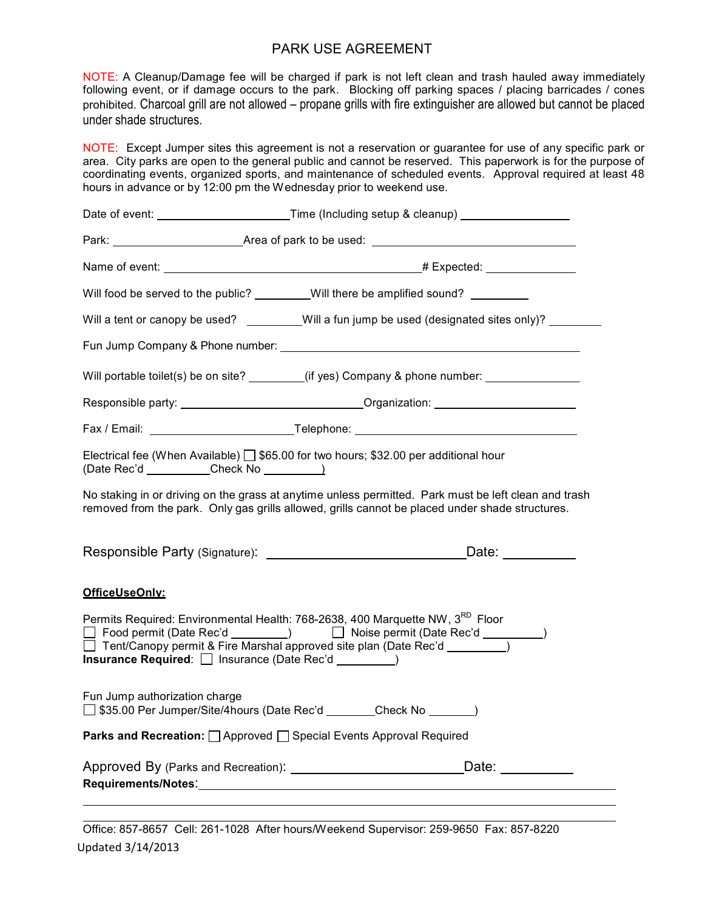## PARK USE AGREEMENT

NOTE: A Cleanup/Damage fee will be charged if park is not left clean and trash hauled away immediately following event, or if damage occurs to the park. Blocking off parking spaces / placing barricades / cones prohibited. Charcoal grill are not allowed – propane grills with fire extinguisher are allowed but cannot be placed under shade structures.

NOTE: Except Jumper sites this agreement is not a reservation or guarantee for use of any specific park or area. City parks are open to the general public and cannot be reserved. This paperwork is for the purpose of coordinating events, organized sports, and maintenance of scheduled events. Approval required at least 48 hours in advance or by 12:00 pm the Wednesday prior to weekend use.

|                                                                                                         | Date of event: _______________________________Time (Including setup & cleanup) ____________________                                                                                                                                         |
|---------------------------------------------------------------------------------------------------------|---------------------------------------------------------------------------------------------------------------------------------------------------------------------------------------------------------------------------------------------|
|                                                                                                         | Park: <u>contract and a set of the Area</u> of park to be used: contract the contract of the Area of park to be used:                                                                                                                       |
|                                                                                                         |                                                                                                                                                                                                                                             |
|                                                                                                         | Will food be served to the public? ________Will there be amplified sound? _______                                                                                                                                                           |
|                                                                                                         | Will a tent or canopy be used? _______Will a fun jump be used (designated sites only)? _______                                                                                                                                              |
|                                                                                                         |                                                                                                                                                                                                                                             |
|                                                                                                         | Will portable toilet(s) be on site? ________(if yes) Company & phone number: _______________________                                                                                                                                        |
|                                                                                                         |                                                                                                                                                                                                                                             |
|                                                                                                         |                                                                                                                                                                                                                                             |
|                                                                                                         | Electrical fee (When Available) $\Box$ \$65.00 for two hours; \$32.00 per additional hour                                                                                                                                                   |
|                                                                                                         | No staking in or driving on the grass at anytime unless permitted. Park must be left clean and trash<br>removed from the park. Only gas grills allowed, grills cannot be placed under shade structures.                                     |
|                                                                                                         |                                                                                                                                                                                                                                             |
| OfficeUseOnly:                                                                                          |                                                                                                                                                                                                                                             |
| Insurance Required: □ Insurance (Date Rec'd _________)                                                  | Permits Required: Environmental Health: 768-2638, 400 Marquette NW, 3RD Floor<br>□ Food permit (Date Rec'd ________)    □ Noise permit (Date Rec'd _________)<br>Tent/Canopy permit & Fire Marshal approved site plan (Date Rec'd ________) |
| Fun Jump authorization charge<br>□ \$35.00 Per Jumper/Site/4hours (Date Rec'd ________Check No _______) |                                                                                                                                                                                                                                             |
| Parks and Recreation: <u>□</u> Approved □ Special Events Approval Required                              |                                                                                                                                                                                                                                             |
|                                                                                                         | Date: and the state of the state of the state of the state of the state of the state of the state of the state of the state of the state of the state of the state of the state of the state of the state of the state of the               |

Updated 3/14/2013 Office: 857-8657 Cell: 261-1028 After hours/Weekend Supervisor: 259-9650 Fax: 857-8220